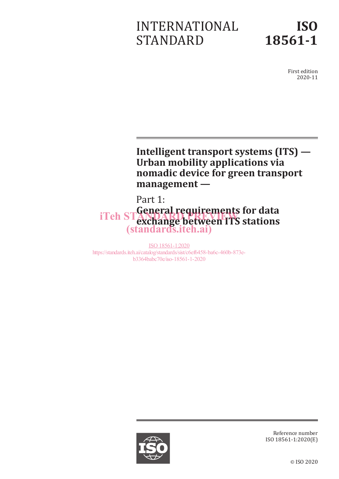# INTERNATIONAL STANDARD



First edition 2020-11

# **Intelligent transport systems (ITS) — Urban mobility applications via nomadic device for green transport management —**

Part 1: **General requirements for data exchange between ITS stations** iTeh STANDARD PREVIEWS I (standards.iteh.ai)

ISO 18561-1:2020 https://standards.iteh.ai/catalog/standards/sist/c6ef6458-ba6c-460b-873eb3364babc70e/iso-18561-1-2020



Reference number ISO 18561-1:2020(E)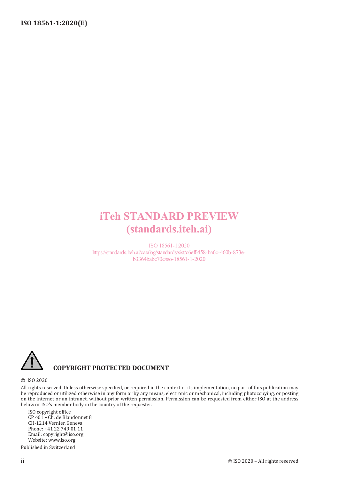# iTeh STANDARD PREVIEW (standards.iteh.ai)

ISO 18561-1:2020 https://standards.iteh.ai/catalog/standards/sist/c6ef6458-ba6c-460b-873eb3364babc70e/iso-18561-1-2020



# **COPYRIGHT PROTECTED DOCUMENT**

#### © ISO 2020

All rights reserved. Unless otherwise specified, or required in the context of its implementation, no part of this publication may be reproduced or utilized otherwise in any form or by any means, electronic or mechanical, including photocopying, or posting on the internet or an intranet, without prior written permission. Permission can be requested from either ISO at the address below or ISO's member body in the country of the requester.

ISO copyright office CP 401 • Ch. de Blandonnet 8 CH-1214 Vernier, Geneva Phone: +41 22 749 01 11 Email: copyright@iso.org Website: www.iso.org Published in Switzerland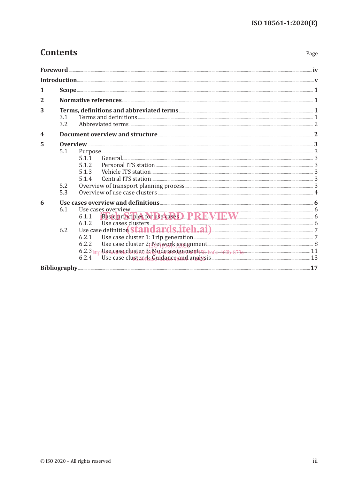Page

# **Contents**

| 1 |                   |                                                                                                                                                                                                                                                                                                                             |  |
|---|-------------------|-----------------------------------------------------------------------------------------------------------------------------------------------------------------------------------------------------------------------------------------------------------------------------------------------------------------------------|--|
| 2 |                   |                                                                                                                                                                                                                                                                                                                             |  |
| 3 | 3.1<br>3.2        |                                                                                                                                                                                                                                                                                                                             |  |
| 4 |                   |                                                                                                                                                                                                                                                                                                                             |  |
| 5 | 5.1<br>5.2<br>5.3 | 5.1.1<br>5.1.2<br>5.1.3<br>5.1.4                                                                                                                                                                                                                                                                                            |  |
| 6 | 6.1<br>6.2        | Use cases overview and definitions <b>Election Constructs</b> 6<br>Use cases overview 6.<br>6.1.1 Basic principles for use cases DERRAMIEW 6.<br>6.1.2<br>Use case definition standards.itch.ai) Manuscritten 7<br>6.2.1<br>6.2.2<br>6.2.3 <sub>https</sub> Use case cluster 3. Mode assignment 58-ba6e-460b-873e-<br>6.2.4 |  |
|   |                   |                                                                                                                                                                                                                                                                                                                             |  |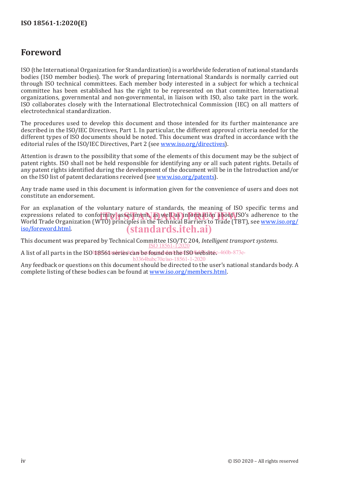# **Foreword**

ISO (the International Organization for Standardization) is a worldwide federation of national standards bodies (ISO member bodies). The work of preparing International Standards is normally carried out through ISO technical committees. Each member body interested in a subject for which a technical committee has been established has the right to be represented on that committee. International organizations, governmental and non-governmental, in liaison with ISO, also take part in the work. ISO collaborates closely with the International Electrotechnical Commission (IEC) on all matters of electrotechnical standardization.

The procedures used to develop this document and those intended for its further maintenance are described in the ISO/IEC Directives, Part 1. In particular, the different approval criteria needed for the different types of ISO documents should be noted. This document was drafted in accordance with the editorial rules of the ISO/IEC Directives, Part 2 (see www.iso.org/directives).

Attention is drawn to the possibility that some of the elements of this document may be the subject of patent rights. ISO shall not be held responsible for identifying any or all such patent rights. Details of any patent rights identified during the development of the document will be in the Introduction and/or on the ISO list of patent declarations received (see www.iso.org/patents).

Any trade name used in this document is information given for the convenience of users and does not constitute an endorsement.

For an explanation of the voluntary nature of standards, the meaning of ISO specific terms and expressions related to conformity assessment, as well as information about ISO's adherence to the<br>World Trade Organization (WTO) principles in the Technical Barriers to Trade (TBT), see www.iso.org/ World Trade Organization (WTO) principles in the Technical Barriers to Trade (TBT), see www.iso.org/ iso/foreword.html. (standards.iteh.ai)

This document was prepared by Technical Committee ISO/TC 204*, Intelligent transport systems.*

A list of all parts in the ISOh18561 series can be found on the ISO in eBsite. 460b-873e-ISO 18561-1:2020 b3364babc70e/iso-18561-1-2020

Any feedback or questions on this document should be directed to the user's national standards body. A complete listing of these bodies can be found at www.iso.org/members.html.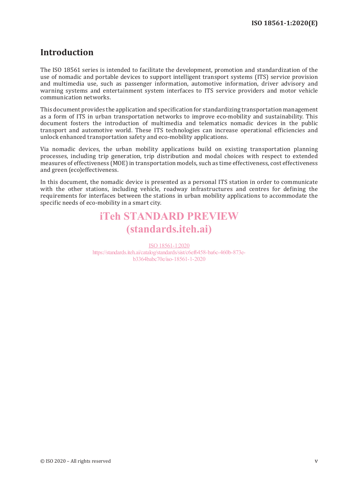# **Introduction**

The ISO 18561 series is intended to facilitate the development, promotion and standardization of the use of nomadic and portable devices to support intelligent transport systems (ITS) service provision and multimedia use, such as passenger information, automotive information, driver advisory and warning systems and entertainment system interfaces to ITS service providers and motor vehicle communication networks.

This document provides the application and specification for standardizing transportation management as a form of ITS in urban transportation networks to improve eco-mobility and sustainability. This document fosters the introduction of multimedia and telematics nomadic devices in the public transport and automotive world. These ITS technologies can increase operational efficiencies and unlock enhanced transportation safety and eco-mobility applications.

Via nomadic devices, the urban mobility applications build on existing transportation planning processes, including trip generation, trip distribution and modal choices with respect to extended measures of effectiveness (MOE) in transportation models, such as time effectiveness, cost effectiveness and green (eco)effectiveness.

In this document, the nomadic device is presented as a personal ITS station in order to communicate with the other stations, including vehicle, roadway infrastructures and centres for defining the requirements for interfaces between the stations in urban mobility applications to accommodate the specific needs of eco-mobility in a smart city.

# iTeh STANDARD PREVIEW (standards.iteh.ai)

ISO 18561-1:2020 https://standards.iteh.ai/catalog/standards/sist/c6ef6458-ba6c-460b-873eb3364babc70e/iso-18561-1-2020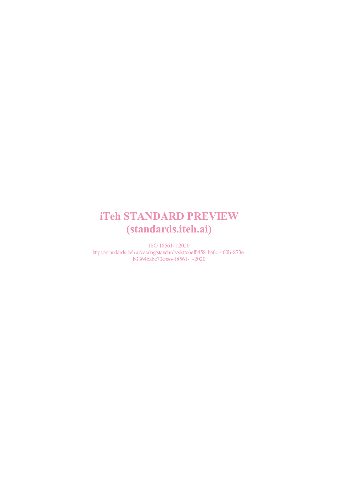# iTeh STANDARD PREVIEW (standards.iteh.ai)

ISO 18561-1:2020 https://standards.iteh.ai/catalog/standards/sist/c6ef6458-ba6c-460b-873eb3364babc70e/iso-18561-1-2020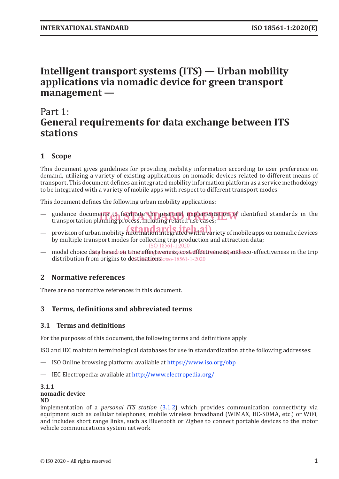# **Intelligent transport systems (ITS) — Urban mobility applications via nomadic device for green transport management —**

# Part 1: **General requirements for data exchange between ITS stations**

# **1 Scope**

This document gives guidelines for providing mobility information according to user preference on demand, utilizing a variety of existing applications on nomadic devices related to different means of transport. This document defines an integrated mobility information platform as a service methodology to be integrated with a variety of mobile apps with respect to different transport modes.

This document defines the following urban mobility applications:

- guidance documents to facilitate the practical implementation of identified standards in the transportation planning process, including related use cases: transportation planning process, including related use cases;
- provision of urban mobility information integrated with a variety of mobile apps on nomadic devices by multiple transport modes for collecting trip production and attraction data; ISO 1 $\,$
- $-$  modal choice data based on time effectiveness, cost effectiveness, and eco-effectiveness in the trip distribution from origins to destinationse/iso-18561-1-2020

# **2 Normative references**

There are no normative references in this document.

# **3 Terms, definitions and abbreviated terms**

### **3.1 Terms and definitions**

For the purposes of this document, the following terms and definitions apply.

ISO and IEC maintain terminological databases for use in standardization at the following addresses:

- ISO Online browsing platform: available at https://www.iso.org/obp
- IEC Electropedia: available at http://www.electropedia.org/

#### **3.1.1 nomadic device ND**

implementation of a *personal ITS station* (3.1.2) which provides communication connectivity via equipment such as cellular telephones, mobile wireless broadband (WIMAX, HC-SDMA, etc.) or WiFi, and includes short range links, such as Bluetooth or Zigbee to connect portable devices to the motor vehicle communications system network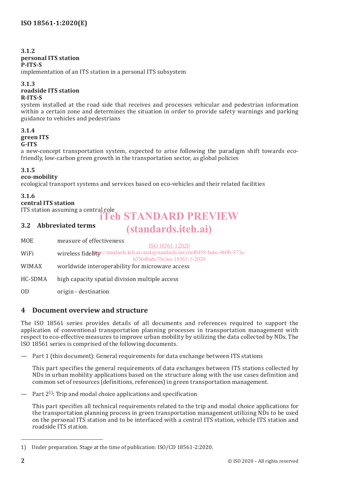#### **3.1.2 personal ITS station P-ITS-S**

implementation of an ITS station in a personal ITS subsystem

#### **3.1.3 roadside ITS station R-ITS-S**

system installed at the road side that receives and processes vehicular and pedestrian information within a certain zone and determines the situation in order to provide safety warnings and parking guidance to vehicles and pedestrians

**3.1.4 green ITS G-ITS**

a new-concept transportation system, expected to arise following the paradigm shift towards ecofriendly, low-carbon green growth in the transportation sector, as global policies

## **3.1.5**

## **eco-mobility**

ecological transport systems and services based on eco-vehicles and their related facilities

### **3.1.6**

#### **central ITS station**

ITS station assuming a central role iTeh STANDARD PREVIEW

## **3.2 Abbreviated terms**

# (standards.iteh.ai)

- MOE measure of effectiveness
- WiFi wireless fidelity<sup>s://standards.iteh.ai/catalog/standards/sist/c6ef6458-ba6c-460b-873e-</sup> ISO 18561-1:2020
- b3364babc70e/iso-18561-1-2020

WIMAX worldwide interoperability for microwave access

HC-SDMA high capacity spatial division multiple access

OD origin - destination

## **4 Document overview and structure**

The ISO 18561 series provides details of all documents and references required to support the application of conventional transportation planning processes in transportation management with respect to eco-effective measures to improve urban mobility by utilizing the data collected by NDs. The ISO 18561 series is comprised of the following documents.

— Part 1 (this document): General requirements for data exchange between ITS stations

This part specifies the general requirements of data exchanges between ITS stations collected by NDs in urban mobility applications based on the structure along with the use cases definition and common set of resources (definitions, references) in green transportation management.

Part 2<sup>1</sup>: Trip and modal choice applications and specification

This part specifies all technical requirements related to the trip and modal choice applications for the transportation planning process in green transportation management utilizing NDs to be used on the personal ITS station and to be interfaced with a central ITS station, vehicle ITS station and roadside ITS station.

<sup>1)</sup> Under preparation. Stage at the time of publication: ISO/CD 18561-2:2020.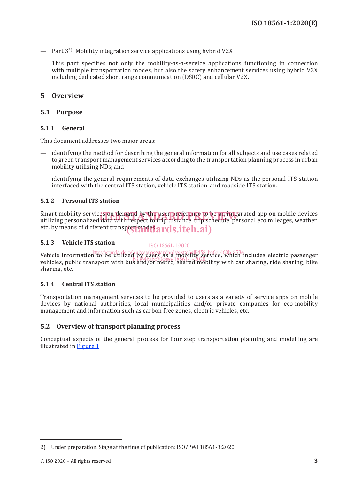$\mu$  Part 3<sup>2</sup>): Mobility integration service applications using hybrid V2X

This part specifies not only the mobility-as-a-service applications functioning in connection with multiple transportation modes, but also the safety enhancement services using hybrid V2X including dedicated short range communication (DSRC) and cellular V2X.

## **5 Overview**

### **5.1 Purpose**

#### **5.1.1 General**

This document addresses two major areas:

- identifying the method for describing the general information for all subjects and use cases related to green transport management services according to the transportation planning process in urban mobility utilizing NDs; and
- identifying the general requirements of data exchanges utilizing NDs as the personal ITS station interfaced with the central ITS station, vehicle ITS station, and roadside ITS station.

### **5.1.2 Personal ITS station**

Smart mobility services on demand by the user preference to be an integrated app on mobile devices<br>utilizing personalized data with respect to trip distance, trip schedule, personal eco mileages, weather, utilizing personalized data with respect to trip distance, trip schedule, personal eco mileages, weather, etc. by means of different transport modes ards.iteh.ai)

#### **5.1.3 Vehicle ITS station**

#### ISO 18561-1:2020

Vehicle information to be utilized by users as a mobility service of 458-ba6c-460b-873e-ficludes electric passenger vehicles, public transport with bus and/or metro, shared mobility with car sharing, ride sharing, bike vehicles, public transport with bus and/or metro, shared mobility with car sharing, ride sharing, bike sharing, etc.

#### **5.1.4 Central ITS station**

Transportation management services to be provided to users as a variety of service apps on mobile devices by national authorities, local municipalities and/or private companies for eco-mobility management and information such as carbon free zones, electric vehicles, etc.

### **5.2 Overview of transport planning process**

Conceptual aspects of the general process for four step transportation planning and modelling are illustrated in Figure 1.

<sup>2)</sup> Under preparation. Stage at the time of publication: ISO/PWI 18561-3:2020.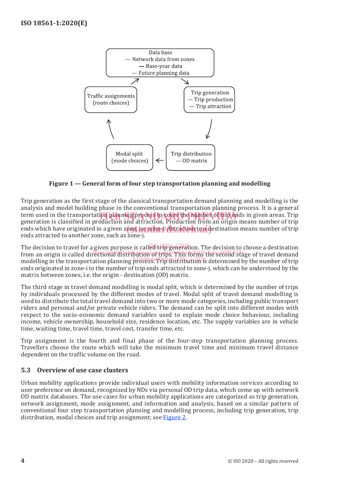

**Figure 1 — General form of four step transportation planning and modelling**

Trip generation as the first stage of the classical transportation demand planning and modelling is the analysis and model building phase in the conventional transportation planning process. It is a general term used in the transportation planning process to cover the number of trip ends in given areas. Trip contract<br>generation is classified in production and attraction. Production from an origin means number of trip generation is classified in production and attraction. Production from an origin means number of trip ends which have originated in a given zone, i.e. zone-i. Attraction to a destination means number of trip ends attracted to another zone, such as zone. ends attracted to another zone, such as zone-j.

The decision to travel for a given purpose is called  $\frac{12561}{12}$  generation. The decision to choose a destination From an origin is called directional distribution of trips. This forms the second stage of travel demand modelling in the transportation planning process. Trip distribution is determined by the number of trip modelling in the transportation planning process. Trip distribution is determined by the number of trip ends originated in zone-i to the number of trip ends attracted to zone-j, which can be understood by the matrix between zones, i.e. the origin - destination (OD) matrix.

The third stage in travel demand modelling is modal split, which is determined by the number of trips by individuals processed by the different modes of travel. Modal split of travel demand modelling is used to distribute the total travel demand into two or more mode categories, including public transport riders and personal and/or private vehicle riders. The demand can be split into different modes with respect to the socio-economic demand variables used to explain mode choice behaviour, including income, vehicle ownership, household size, residence location, etc. The supply variables are in vehicle time, waiting time, travel time, travel cost, transfer time, etc.

Trip assignment is the fourth and final phase of the four-step transportation planning process. Travellers choose the route which will take the minimum travel time and minimum travel distance dependent on the traffic volume on the road.

## **5.3 Overview of use case clusters**

Urban mobility applications provide individual users with mobility information services according to user preference on demand, recognized by NDs via personal OD trip data, which come up with network OD matrix databases. The use cases for urban mobility applications are categorized as trip generation, network assignment, mode assignment, and information and analysis, based on a similar pattern of conventional four step transportation planning and modelling process, including trip generation, trip distribution, modal choices and trip assignment; see Figure 2.